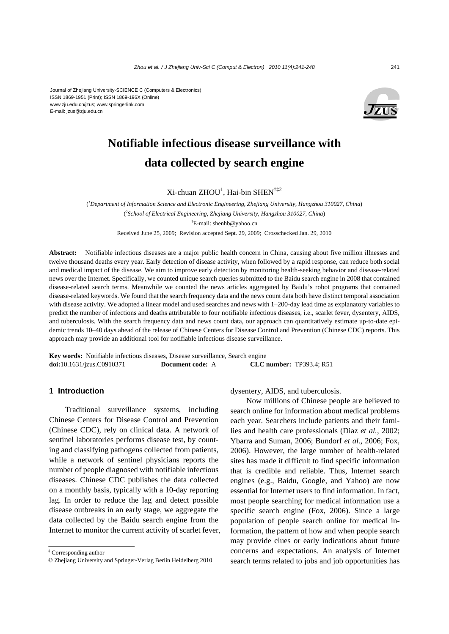

# **Notifiable infectious disease surveillance with data collected by search engine**

Xi-chuan ZHOU<sup>1</sup>, Hai-bin SHEN<sup>†‡2</sup>

( *1 Department of Information Science and Electronic Engineering, Zhejiang University, Hangzhou 310027, China*) ( *2 School of Electrical Engineering, Zhejiang University, Hangzhou 310027, China*) † E-mail: shenhb@yahoo.cn Received June 25, 2009; Revision accepted Sept. 29, 2009; Crosschecked Jan. 29, 2010

**Abstract:** Notifiable infectious diseases are a major public health concern in China, causing about five million illnesses and twelve thousand deaths every year. Early detection of disease activity, when followed by a rapid response, can reduce both social and medical impact of the disease. We aim to improve early detection by monitoring health-seeking behavior and disease-related news over the Internet. Specifically, we counted unique search queries submitted to the Baidu search engine in 2008 that contained disease-related search terms. Meanwhile we counted the news articles aggregated by Baidu's robot programs that contained disease-related keywords. We found that the search frequency data and the news count data both have distinct temporal association with disease activity. We adopted a linear model and used searches and news with 1–200-day lead time as explanatory variables to predict the number of infections and deaths attributable to four notifiable infectious diseases, i.e., scarlet fever, dysentery, AIDS, and tuberculosis. With the search frequency data and news count data, our approach can quantitatively estimate up-to-date epidemic trends 10–40 days ahead of the release of Chinese Centers for Disease Control and Prevention (Chinese CDC) reports. This approach may provide an additional tool for notifiable infectious disease surveillance.

**Key words:** Notifiable infectious diseases, Disease surveillance, Search engine **doi:**10.1631/jzus.C0910371 **Document code:** A **CLC number:** TP393.4; R51

## **1 Introduction**

Traditional surveillance systems, including Chinese Centers for Disease Control and Prevention (Chinese CDC), rely on clinical data. A network of sentinel laboratories performs disease test, by counting and classifying pathogens collected from patients, while a network of sentinel physicians reports the number of people diagnosed with notifiable infectious diseases. Chinese CDC publishes the data collected on a monthly basis, typically with a 10-day reporting lag. In order to reduce the lag and detect possible disease outbreaks in an early stage, we aggregate the data collected by the Baidu search engine from the Internet to monitor the current activity of scarlet fever, dysentery, AIDS, and tuberculosis.

Now millions of Chinese people are believed to search online for information about medical problems each year. Searchers include patients and their families and health care professionals (Diaz *et al.*, 2002; Ybarra and Suman, 2006; Bundorf *et al.*, 2006; Fox, 2006). However, the large number of health-related sites has made it difficult to find specific information that is credible and reliable. Thus, Internet search engines (e.g., Baidu, Google, and Yahoo) are now essential for Internet users to find information. In fact, most people searching for medical information use a specific search engine (Fox, 2006). Since a large population of people search online for medical information, the pattern of how and when people search may provide clues or early indications about future concerns and expectations. An analysis of Internet search terms related to jobs and job opportunities has

<sup>‡</sup> Corresponding author

<sup>©</sup> Zhejiang University and Springer-Verlag Berlin Heidelberg 2010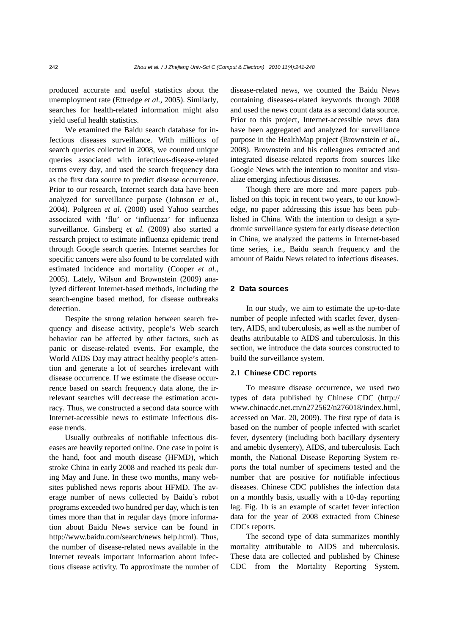produced accurate and useful statistics about the unemployment rate (Ettredge *et al.*, 2005). Similarly, searches for health-related information might also yield useful health statistics.

We examined the Baidu search database for infectious diseases surveillance. With millions of search queries collected in 2008, we counted unique queries associated with infectious-disease-related terms every day, and used the search frequency data as the first data source to predict disease occurrence. Prior to our research, Internet search data have been analyzed for surveillance purpose (Johnson *et al.*, 2004). Polgreen *et al.* (2008) used Yahoo searches associated with 'flu' or 'influenza' for influenza surveillance. Ginsberg *et al.* (2009) also started a research project to estimate influenza epidemic trend through Google search queries. Internet searches for specific cancers were also found to be correlated with estimated incidence and mortality (Cooper *et al.*, 2005). Lately, Wilson and Brownstein (2009) analyzed different Internet-based methods, including the search-engine based method, for disease outbreaks detection.

Despite the strong relation between search frequency and disease activity, people's Web search behavior can be affected by other factors, such as panic or disease-related events. For example, the World AIDS Day may attract healthy people's attention and generate a lot of searches irrelevant with disease occurrence. If we estimate the disease occurrence based on search frequency data alone, the irrelevant searches will decrease the estimation accuracy. Thus, we constructed a second data source with Internet-accessible news to estimate infectious disease trends.

Usually outbreaks of notifiable infectious diseases are heavily reported online. One case in point is the hand, foot and mouth disease (HFMD), which stroke China in early 2008 and reached its peak during May and June. In these two months, many websites published news reports about HFMD. The average number of news collected by Baidu's robot programs exceeded two hundred per day, which is ten times more than that in regular days (more information about Baidu News service can be found in http://www.baidu.com/search/news help.html). Thus, the number of disease-related news available in the Internet reveals important information about infectious disease activity. To approximate the number of disease-related news, we counted the Baidu News containing diseases-related keywords through 2008 and used the news count data as a second data source. Prior to this project, Internet-accessible news data have been aggregated and analyzed for surveillance purpose in the HealthMap project (Brownstein *et al.*, 2008). Brownstein and his colleagues extracted and integrated disease-related reports from sources like Google News with the intention to monitor and visualize emerging infectious diseases.

Though there are more and more papers published on this topic in recent two years, to our knowledge, no paper addressing this issue has been published in China. With the intention to design a syndromic surveillance system for early disease detection in China, we analyzed the patterns in Internet-based time series, i.e., Baidu search frequency and the amount of Baidu News related to infectious diseases.

# **2 Data sources**

In our study, we aim to estimate the up-to-date number of people infected with scarlet fever, dysentery, AIDS, and tuberculosis, as well as the number of deaths attributable to AIDS and tuberculosis. In this section, we introduce the data sources constructed to build the surveillance system.

#### **2.1 Chinese CDC reports**

To measure disease occurrence, we used two types of data published by Chinese CDC (http:// www.chinacdc.net.cn/n272562/n276018/index.html, accessed on Mar. 20, 2009). The first type of data is based on the number of people infected with scarlet fever, dysentery (including both bacillary dysentery and amebic dysentery), AIDS, and tuberculosis. Each month, the National Disease Reporting System reports the total number of specimens tested and the number that are positive for notifiable infectious diseases. Chinese CDC publishes the infection data on a monthly basis, usually with a 10-day reporting lag. Fig. 1b is an example of scarlet fever infection data for the year of 2008 extracted from Chinese CDCs reports.

The second type of data summarizes monthly mortality attributable to AIDS and tuberculosis. These data are collected and published by Chinese CDC from the Mortality Reporting System.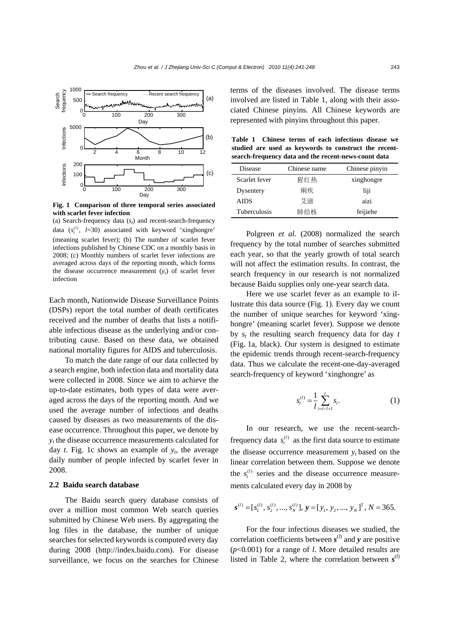

**Fig. 1 Comparison of three temporal series associated with scarlet fever infection** 

(a) Search-frequency data  $(s_t)$  and recent-search-frequency data  $(s_t^{(l)}, \, l=30)$  associated with keyword 'xinghongre' (meaning scarlet fever); (b) The number of scarlet fever infections published by Chinese CDC on a monthly basis in 2008; (c) Monthly numbers of scarlet fever infections are averaged across days of the reporting month, which forms the disease occurrence measurement (*yt*) of scarlet fever infection

Each month, Nationwide Disease Surveillance Points (DSPs) report the total number of death certificates received and the number of deaths that lists a notifiable infectious disease as the underlying and/or contributing cause. Based on these data, we obtained national mortality figures for AIDS and tuberculosis.

To match the date range of our data collected by a search engine, both infection data and mortality data were collected in 2008. Since we aim to achieve the up-to-date estimates, both types of data were averaged across the days of the reporting month. And we used the average number of infections and deaths caused by diseases as two measurements of the disease occurrence. Throughout this paper, we denote by  $y_t$  the disease occurrence measurements calculated for day *t*. Fig. 1c shows an example of  $v_t$ , the average daily number of people infected by scarlet fever in 2008.

## **2.2 Baidu search database**

The Baidu search query database consists of over a million most common Web search queries submitted by Chinese Web users. By aggregating the log files in the database, the number of unique searches for selected keywords is computed every day during 2008 (http://index.baidu.com). For disease surveillance, we focus on the searches for Chinese

terms of the diseases involved. The disease terms involved are listed in Table 1, along with their associated Chinese pinyins. All Chinese keywords are represented with pinyins throughout this paper.

**Table 1 Chinese terms of each infectious disease we studied are used as keywords to construct the recentsearch-frequency data and the recent-news-count data** 

| Disease             | Chinese name | Chinese pinyin |
|---------------------|--------------|----------------|
| Scarlet fever       | 猩红热          | xinghongre     |
| Dysentery           | 痢疾           | liji           |
| <b>AIDS</b>         | 艾滋           | aizi           |
| <b>Tuberculosis</b> | 肺结核          | feijiehe       |

Polgreen *et al.* (2008) normalized the search frequency by the total number of searches submitted each year, so that the yearly growth of total search will not affect the estimation results. In contrast, the search frequency in our research is not normalized because Baidu supplies only one-year search data.

Here we use scarlet fever as an example to illustrate this data source (Fig. 1). Every day we count the number of unique searches for keyword 'xinghongre' (meaning scarlet fever). Suppose we denote by *st* the resulting search frequency data for day *t*  (Fig. 1a, black). Our system is designed to estimate the epidemic trends through recent-search-frequency data. Thus we calculate the recent-one-day-averaged search-frequency of keyword 'xinghongre' as

$$
s_t^{(l)} = \frac{1}{l} \sum_{i=l-l+1}^t s_i.
$$
 (1)

In our research, we use the recent-searchfrequency data  $s_t^{(l)}$  as the first data source to estimate the disease occurrence measurement  $v_t$  based on the linear correlation between them. Suppose we denote the  $s_t^{(l)}$  series and the disease occurrence measurements calculated every day in 2008 by

$$
\mathbf{s}^{(l)} = [s_1^{(l)}, s_2^{(l)}, ..., s_N^{(l)}], \mathbf{y} = [y_1, y_2, ..., y_N]^T, N = 365.
$$

For the four infectious diseases we studied, the correlation coefficients between  $s^{(l)}$  and  $y$  are positive (*p*<0*.*001) for a range of *l*. More detailed results are listed in Table 2, where the correlation between  $s^{(l)}$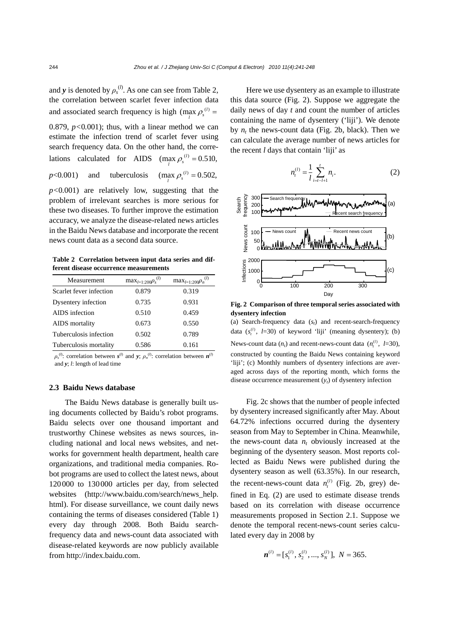and *y* is denoted by  $\rho_s^{(l)}$ . As one can see from Table 2, the correlation between scarlet fever infection data and associated search frequency is high ( $\max_l \rho_s^{(l)}$ ) 0.879,  $p<0.001$ ); thus, with a linear method we can estimate the infection trend of scarlet fever using search frequency data. On the other hand, the correlations calculated for AIDS  $(\max_l \rho_s^{(l)}) = 0.510$ , *p*<0.001) and tuberculosis (max  $\rho_s^{(l)} = 0.502$ , *p<*0*.*001) are relatively low, suggesting that the

problem of irrelevant searches is more serious for these two diseases. To further improve the estimation accuracy, we analyze the disease-related news articles in the Baidu News database and incorporate the recent news count data as a second data source.

**Table 2 Correlation between input data series and different disease occurrence measurements** 

| Measurement             | $\max_{l=1:200} \rho_s^{(l)}$ | $\max_{l=1:200} \rho_n^{(l)}$ |  |  |
|-------------------------|-------------------------------|-------------------------------|--|--|
| Scarlet fever infection | 0.879                         | 0.319                         |  |  |
| Dysentery infection     | 0.735                         | 0.931                         |  |  |
| AIDS infection          | 0.510                         | 0.459                         |  |  |
| AIDS mortality          | 0.673                         | 0.550                         |  |  |
| Tuberculosis infection  | 0.502                         | 0.789                         |  |  |
| Tuberculosis mortality  | 0.586                         | 0.161                         |  |  |

 $\rho_s$ <sup>(*l*)</sup>: correlation between *s*<sup>(*l*)</sup> and *y*;  $\rho_n$ <sup>(*l*)</sup>: correlation between *n*<sup>(*l*)</sup>) and *y*; *l*: length of lead time

# **2.3 Baidu News database**

The Baidu News database is generally built using documents collected by Baidu's robot programs. Baidu selects over one thousand important and trustworthy Chinese websites as news sources, including national and local news websites, and networks for government health department, health care organizations, and traditional media companies. Robot programs are used to collect the latest news, about 120000 to 130000 articles per day, from selected websites (http://www.baidu.com/search/news\_help. html). For disease surveillance, we count daily news containing the terms of diseases considered (Table 1) every day through 2008. Both Baidu searchfrequency data and news-count data associated with disease-related keywords are now publicly available from http://index.baidu.com.

Here we use dysentery as an example to illustrate this data source (Fig. 2). Suppose we aggregate the daily news of day *t* and count the number of articles containing the name of dysentery ('liji'). We denote by  $n_t$  the news-count data (Fig. 2b, black). Then we can calculate the average number of news articles for the recent *l* days that contain 'liji' as

$$
n_t^{(l)} = \frac{1}{l} \sum_{i=t-l+1}^t n_i.
$$
 (2)



**Fig. 2 Comparison of three temporal series associated with dysentery infection** 

(a) Search-frequency data (*st*) and recent-search-frequency data  $(s_t^{(l)}, l=30)$  of keyword 'liji' (meaning dysentery); (b) News-count data  $(n_t)$  and recent-news-count data  $(n_t^{(l)}, l=30)$ , constructed by counting the Baidu News containing keyword 'liji'; (c) Monthly numbers of dysentery infections are averaged across days of the reporting month, which forms the disease occurrence measurement (*yt*) of dysentery infection

Fig. 2c shows that the number of people infected by dysentery increased significantly after May. About 64*.*72% infections occurred during the dysentery season from May to September in China. Meanwhile, the news-count data  $n_t$  obviously increased at the beginning of the dysentery season. Most reports collected as Baidu News were published during the dysentery season as well (63*.*35%). In our research, the recent-news-count data  $n_t^{(l)}$  (Fig. 2b, grey) defined in Eq. (2) are used to estimate disease trends based on its correlation with disease occurrence measurements proposed in Section 2.1. Suppose we denote the temporal recent-news-count series calculated every day in 2008 by

$$
\boldsymbol{n}^{(l)} = [s_1^{(l)}, s_2^{(l)}, ..., s_N^{(l)}], N = 365.
$$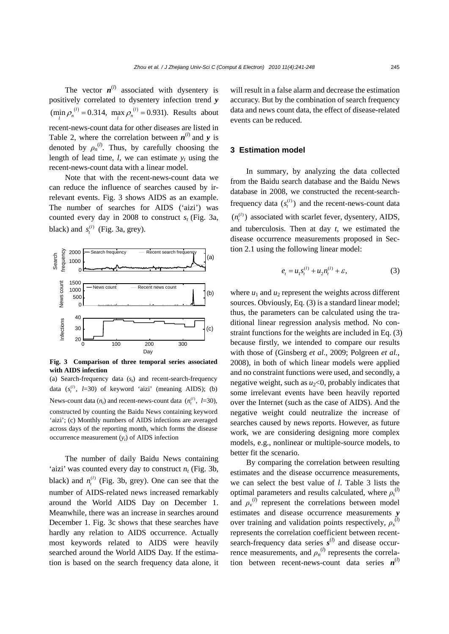The vector  $\mathbf{n}^{(l)}$  associated with dysentery is positively correlated to dysentery infection trend *y*  $(\min_{l} \rho_n^{(l)} = 0.314, \max_{l} \rho_n^{(l)} = 0.931)$ . Results about recent-news-count data for other diseases are listed in Table 2, where the correlation between  $n^{(l)}$  and v is denoted by  $\rho_n^{(l)}$ . Thus, by carefully choosing the length of lead time,  $l$ , we can estimate  $y_t$  using the recent-news-count data with a linear model.

Note that with the recent-news-count data we can reduce the influence of searches caused by irrelevant events. Fig. 3 shows AIDS as an example. The number of searches for AIDS ('aizi') was counted every day in 2008 to construct  $s_t$  (Fig. 3a, black) and  $s_t^{(l)}$  (Fig. 3a, grey).



**Fig. 3 Comparison of three temporal series associated with AIDS infection** 

(a) Search-frequency data (*st*) and recent-search-frequency data  $(s_t^{(l)}, \, l=30)$  of keyword 'aizi' (meaning AIDS); (b) News-count data  $(n_t)$  and recent-news-count data  $(n_t^{(l)}, \, l=30)$ , constructed by counting the Baidu News containing keyword 'aizi'; (c) Monthly numbers of AIDS infections are averaged across days of the reporting month, which forms the disease occurrence measurement  $(y_t)$  of AIDS infection

The number of daily Baidu News containing 'aizi' was counted every day to construct  $n_t$  (Fig. 3b, black) and  $n_t^{(l)}$  (Fig. 3b, grey). One can see that the number of AIDS-related news increased remarkably around the World AIDS Day on December 1. Meanwhile, there was an increase in searches around December 1. Fig. 3c shows that these searches have hardly any relation to AIDS occurrence. Actually most keywords related to AIDS were heavily searched around the World AIDS Day. If the estimation is based on the search frequency data alone, it

will result in a false alarm and decrease the estimation accuracy. But by the combination of search frequency data and news count data, the effect of disease-related events can be reduced.

## **3 Estimation model**

In summary, by analyzing the data collected from the Baidu search database and the Baidu News database in 2008, we constructed the recent-searchfrequency data  $(s_t^{(l)})$  and the recent-news-count data  $(n_t^{(l)})$  associated with scarlet fever, dysentery, AIDS, and tuberculosis. Then at day *t*, we estimated the disease occurrence measurements proposed in Section 2.1 using the following linear model:

$$
e_t = u_1 s_t^{(l)} + u_2 n_t^{(l)} + \varepsilon,
$$
 (3)

where  $u_1$  and  $u_2$  represent the weights across different sources. Obviously, Eq. (3) is a standard linear model; thus, the parameters can be calculated using the traditional linear regression analysis method. No constraint functions for the weights are included in Eq. (3) because firstly, we intended to compare our results with those of (Ginsberg *et al.*, 2009; Polgreen *et al.*, 2008), in both of which linear models were applied and no constraint functions were used, and secondly, a negative weight, such as  $u_2 < 0$ , probably indicates that some irrelevant events have been heavily reported over the Internet (such as the case of AIDS). And the negative weight could neutralize the increase of searches caused by news reports. However, as future work, we are considering designing more complex models, e.g., nonlinear or multiple-source models, to better fit the scenario.

By comparing the correlation between resulting estimates and the disease occurrence measurements, we can select the best value of *l*. Table 3 lists the optimal parameters and results calculated, where  $\rho_t^{(l)}$ and  $\rho_{\rm v}^{(l)}$  represent the correlations between model estimates and disease occurrence measurements *y* over training and validation points respectively,  $\rho_s^{(l)}$ represents the correlation coefficient between recentsearch-frequency data series  $s^{(l)}$  and disease occurrence measurements, and  $\rho_n^{(l)}$  represents the correlation between recent-news-count data series  $\boldsymbol{n}^{(l)}$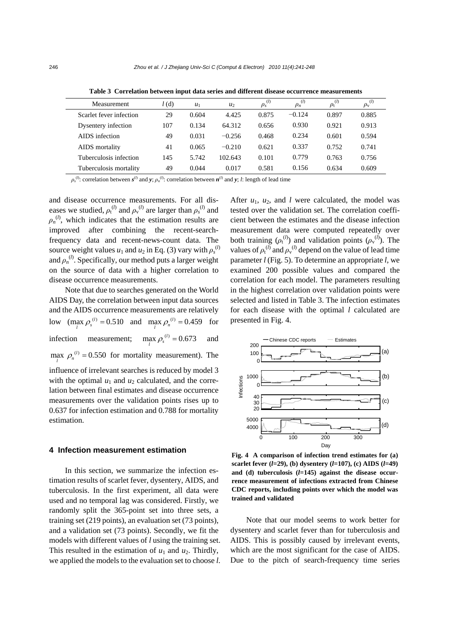| Measurement             | l(d) | $u_1$ | $u_2$    | $\rho_s^{(l)}$ | $\rho_n^{(l)}$ | $\rho_{\rm t}^{(l)}$ | $\rho_v^{(l)}$ |
|-------------------------|------|-------|----------|----------------|----------------|----------------------|----------------|
| Scarlet fever infection | 29   | 0.604 | 4.425    | 0.875          | $-0.124$       | 0.897                | 0.885          |
| Dysentery infection     | 107  | 0.134 | 64.312   | 0.656          | 0.930          | 0.921                | 0.913          |
| AIDS infection          | 49   | 0.031 | $-0.256$ | 0.468          | 0.234          | 0.601                | 0.594          |
| AIDS mortality          | 41   | 0.065 | $-0.210$ | 0.621          | 0.337          | 0.752                | 0.741          |
| Tuberculosis infection  | 145  | 5.742 | 102.643  | 0.101          | 0.779          | 0.763                | 0.756          |
| Tuberculosis mortality  | 49   | 0.044 | 0.017    | 0.581          | 0.156          | 0.634                | 0.609          |

**Table 3 Correlation between input data series and different disease occurrence measurements** 

 $\rho_s^{(l)}$ : correlation between  $s^{(l)}$  and  $y$ ;  $\rho_n^{(l)}$ : correlation between  $n^{(l)}$  and  $y$ ; *l*: length of lead time

and disease occurrence measurements. For all diseases we studied,  $\rho_t^{(l)}$  and  $\rho_v^{(l)}$  are larger than  $\rho_s^{(l)}$  and  $\rho_n^{(l)}$ , which indicates that the estimation results are improved after combining the recent-searchfrequency data and recent-news-count data. The source weight values  $u_1$  and  $u_2$  in Eq. (3) vary with  $\rho_s^{(l)}$ and  $\rho_n^{(l)}$ . Specifically, our method puts a larger weight on the source of data with a higher correlation to disease occurrence measurements.

Note that due to searches generated on the World AIDS Day, the correlation between input data sources and the AIDS occurrence measurements are relatively low  $(\max_l \rho_s^{(l)} = 0.510 \text{ and } \max_l \rho_n^{(l)} = 0.459 \text{ for }$ infection measurement;  $\max_{l} \rho_s^{(l)} = 0.673$  and  $\max_{l} \rho_n^{(l)} = 0.550$  for mortality measurement). The influence of irrelevant searches is reduced by model 3 with the optimal  $u_1$  and  $u_2$  calculated, and the correlation between final estimates and disease occurrence measurements over the validation points rises up to 0.637 for infection estimation and 0.788 for mortality estimation.

#### **4 Infection measurement estimation**

In this section, we summarize the infection estimation results of scarlet fever, dysentery, AIDS, and tuberculosis. In the first experiment, all data were used and no temporal lag was considered. Firstly, we randomly split the 365-point set into three sets, a training set (219 points), an evaluation set (73 points), and a validation set (73 points). Secondly, we fit the models with different values of *l* using the training set. This resulted in the estimation of  $u_1$  and  $u_2$ . Thirdly, we applied the models to the evaluation set to choose *l*. After  $u_1$ ,  $u_2$ , and *l* were calculated, the model was tested over the validation set. The correlation coefficient between the estimates and the disease infection measurement data were computed repeatedly over both training  $(\rho_t^{(l)})$  and validation points  $(\rho_v^{(l)})$ . The values of  $\rho_t^{(l)}$  and  $\rho_y^{(l)}$  depend on the value of lead time parameter *l* (Fig. 5). To determine an appropriate *l*, we examined 200 possible values and compared the correlation for each model. The parameters resulting in the highest correlation over validation points were selected and listed in Table 3. The infection estimates for each disease with the optimal *l* calculated are presented in Fig. 4.



**Fig. 4 A comparison of infection trend estimates for (a) scarlet fever (***l***=29), (b) dysentery (***l***=107), (c) AIDS (***l***=49) and (d) tuberculosis (***l***=145) against the disease occurrence measurement of infections extracted from Chinese CDC reports, including points over which the model was trained and validated**

Note that our model seems to work better for dysentery and scarlet fever than for tuberculosis and AIDS. This is possibly caused by irrelevant events, which are the most significant for the case of AIDS. Due to the pitch of search-frequency time series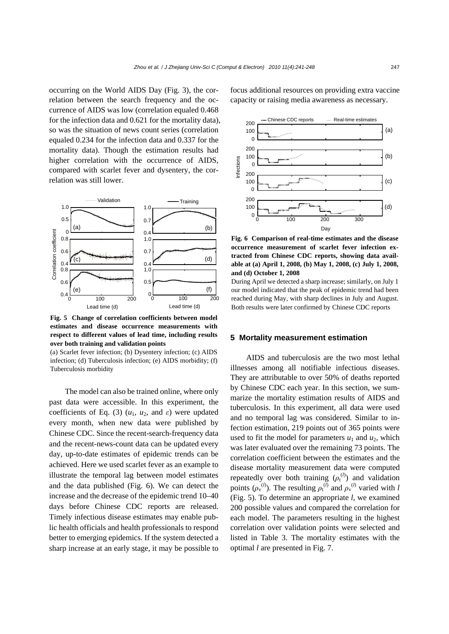occurring on the World AIDS Day (Fig. 3), the correlation between the search frequency and the occurrence of AIDS was low (correlation equaled 0.468 for the infection data and 0.621 for the mortality data), so was the situation of news count series (correlation equaled 0.234 for the infection data and 0.337 for the mortality data). Though the estimation results had higher correlation with the occurrence of AIDS, compared with scarlet fever and dysentery, the correlation was still lower.



**Fig. 5 Change of correlation coefficients between model estimates and disease occurrence measurements with respect to different values of lead time, including results over both training and validation points** 

(a) Scarlet fever infection; (b) Dysentery infection; (c) AIDS infection; (d) Tuberculosis infection; (e) AIDS morbidity; (f) Tuberculosis morbidity

The model can also be trained online, where only past data were accessible. In this experiment, the coefficients of Eq. (3)  $(u_1, u_2, \text{ and } \varepsilon)$  were updated every month, when new data were published by Chinese CDC. Since the recent-search-frequency data and the recent-news-count data can be updated every day, up-to-date estimates of epidemic trends can be achieved. Here we used scarlet fever as an example to illustrate the temporal lag between model estimates and the data published (Fig. 6). We can detect the increase and the decrease of the epidemic trend 10–40 days before Chinese CDC reports are released. Timely infectious disease estimates may enable public health officials and health professionals to respond better to emerging epidemics. If the system detected a sharp increase at an early stage, it may be possible to

focus additional resources on providing extra vaccine capacity or raising media awareness as necessary.



**Fig. 6 Comparison of real-time estimates and the disease occurrence measurement of scarlet fever infection extracted from Chinese CDC reports, showing data available at (a) April 1, 2008, (b) May 1, 2008, (c) July 1, 2008, and (d) October 1, 2008** 

During April we detected a sharp increase; similarly, on July 1 our model indicated that the peak of epidemic trend had been reached during May, with sharp declines in July and August. Both results were later confirmed by Chinese CDC reports

#### **5 Mortality measurement estimation**

AIDS and tuberculosis are the two most lethal illnesses among all notifiable infectious diseases. They are attributable to over 50% of deaths reported by Chinese CDC each year. In this section, we summarize the mortality estimation results of AIDS and tuberculosis. In this experiment, all data were used and no temporal lag was considered. Similar to infection estimation, 219 points out of 365 points were used to fit the model for parameters  $u_1$  and  $u_2$ , which was later evaluated over the remaining 73 points. The correlation coefficient between the estimates and the disease mortality measurement data were computed repeatedly over both training  $(\rho_t^{(l)})$  and validation points ( $\rho$ <sup>(*l*)</sup>). The resulting  $\rho$ <sub>t</sub><sup>(*l*)</sup> and  $\rho$ <sub>v</sub><sup>(*l*)</sup> varied with *l* (Fig. 5). To determine an appropriate *l*, we examined 200 possible values and compared the correlation for each model. The parameters resulting in the highest correlation over validation points were selected and listed in Table 3. The mortality estimates with the optimal *l* are presented in Fig. 7.